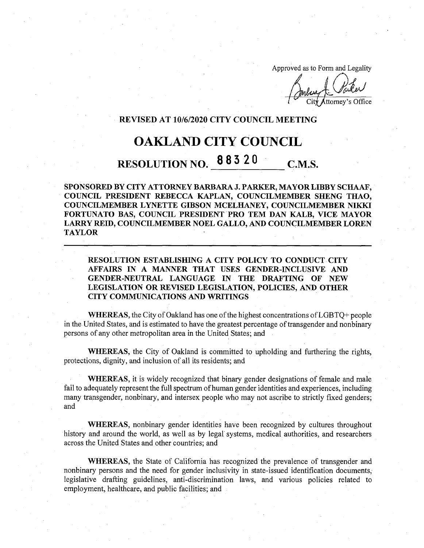Approved as to Form and Legality

CityAttorney's Office

## **REVISED AT 10/6/2020 CITY COUNCIL MEETING**

## OAKLAND CITY COUNCIL

## RESOLUTION NO. 88320 C.M.S.

**SPONSORED BY CITY ATTORNEY BARBARA J. PARKER, MAYOR LIBBY SCHAAF, COUNCIL PRESIDENT REBECCA KAPLAN, COUNCILMEMBER SHENG THAO, COUNCILMEMBER LYNETTE GIBSON MCELHANEY, COUNCILMEMBER NIKKI FORTUNATO BAS, COUNCIL PRESIDENT PRO TEM DAN KALB, VICE MAYOR LARRY REID, COUNCILMEMBER NOEL GALLO, AND COUNCILMEMBER LOREN TAYLOR**

**RESOLUTION ESTABLISHING A CITY POLICY TO CONDUCT CITY AFFAIRS IN A MANNER THAT USES GENDER-INCLUSIVE AND GENDER-NEUTRAL LANGUAGE IN THE DRAFTING OF NEW LEGISLATION OR REVISED LEGISLATION, POLICIES, AND OTHER CITY COMMUNICATIONS AND WRITINGS**

**WHEREAS,** the City of Oakland has one of the highest concentrations of LGBTQ+ people in the United States, and is estimated to have the greatest percentage of transgender and nonbinary persons of any other metropolitan area in the United States; and

WHEREAS, the City of Oakland is committed to upholding and furthering the rights, protections, dignity, and inclusion of all its residents; and

WHEREAS, it is widely recognized that binary gender designations of female and male fail to adequately represent the full spectrum of human gender identities and experiences, including many transgender, nonbinary, and intersex people who may not ascribe to strictly fixed genders; and

**WHEREAS,** nonbinary gender identities have been recognized by cultures throughout history and around the world, as well as by legal systems, medical authorities, and researchers across the United States and other countries; and

WHEREAS, the State of California has recognized the prevalence of transgender and nonbinary persons and the need for gender inclusivity in state-issued identification documents, legislative drafting guidelines, anti-discrimination laws, and various policies related to employment, healthcare, and public facilities; and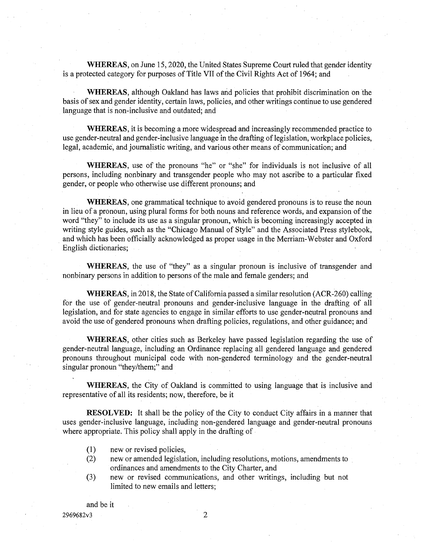**WHEREAS,** on June 15,2020, the United States Supreme Court ruled that gender identity is a protected category for purposes of Title VII of the Civil Rights Act of 1964; and

**WHEREAS,** although Oakland has laws and policies that prohibit discrimination on the basis of sex and gender identity, certain laws, policies, and other writings continue to use gendered language that is non-inclusive and outdated; and

**WHEREAS,** it is becoming a more widespread and increasingly recommended practice to use gender-neutral and gender-inclusive language in the drafting oflegislation, workplace policies, legal, academic, and journalistic writing, and various other means of communication; and

**WHEREAS,** use of the pronouns "he" or "she" for individuals is not inclusive of all persons, including nonbinary and transgender people who may not ascribe to a particular fixed gender, or people who otherwise use different pronouns; and

**WHEREAS,** one grammatical technique to avoid gendered pronouns is to reuse the noun in lieu of a pronoun, using plural forms for both nouns and reference words, and expansion of the word "they" to include its use as a singular pronoun, which is becoming increasingly accepted in writing style guides, such as the "Chicago Manual of Style" and the Associated Press stylebook, and which has been officially acknowledged as proper usage in the Merriam-Webster and Oxford English dictionaries;

**WHEREAS,** the use of "they" as a singular pronoun is inclusive of transgender and nonbinary persons in addition to persons of the male and female genders; and

**WHEREAS**, in 2018, the State of California passed a similar resolution (ACR-260) calling for the use of gender-neutral pronouns and gender-inclusive language in the drafting of all legislation, and for state agencies to engage in similar efforts to use gender-neutral pronouns and avoid the use of gendered pronouns when drafting policies, regulations, and other guidance; and

**WHEREAS,** other cities such as Berkeley have passed legislation regarding the use of gender-neutral language, including an Ordinance replacing all gendered language and gendered pronouns throughout municipal code with non-gendered terminology and the gender-neutral singular pronoun "they/them;" and

**WHEREAS,** the City of Oakland is committed to using language that is inclusive and representative of all its residents; now, therefore, be it

**RESOLVED:** It shall be the policy of the City to conduct City affairs in a manner that uses gender-inclusive language, including non-gendered language and gender-neutral pronouns where appropriate. This policy shall apply in the drafting of

- new or revised policies, (1)
- new or amended legislation, including resolutions, motions, amendments to ordinances and amendments to the City Charter, and **(2)**
- new or revised communications, and other writings, including but not limited to new emails and letters; **(3)**

and be it

2969682v3 **2**